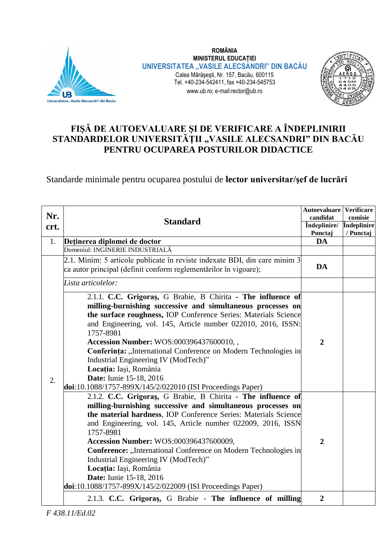

**ROMÂNIA MINISTERUL EDUCAȚIEI UNIVERSITATEA "VASILE ALECSANDRI" DIN BACĂU** Calea Mărăşeşti, Nr. 157, Bacău, 600115 Tel. +40-234-542411, fax +40-234-545753 www.ub.ro; e-mail:rector@ub.ro



## **FIŞĂ DE AUTOEVALUARE ŞI DE VERIFICARE A ÎNDEPLINIRII**  STANDARDELOR UNIVERSITĂȚII "VASILE ALECSANDRI" DIN BACĂU **PENTRU OCUPAREA POSTURILOR DIDACTICE**

Standarde minimale pentru ocuparea postului de **lector universitar/şef de lucrări**

| Nr.<br>crt. | <b>Standard</b>                                                                                                                                                                                                                                                                                                                                                                                                                                                                                                                                            | <b>Autoevaluare Verificare</b><br>candidat<br><i>f</i> ndeplinire/<br>Punctaj | comisie<br>Îndeplinire<br>/ Punctaj |
|-------------|------------------------------------------------------------------------------------------------------------------------------------------------------------------------------------------------------------------------------------------------------------------------------------------------------------------------------------------------------------------------------------------------------------------------------------------------------------------------------------------------------------------------------------------------------------|-------------------------------------------------------------------------------|-------------------------------------|
| 1.          | Deținerea diplomei de doctor                                                                                                                                                                                                                                                                                                                                                                                                                                                                                                                               | <b>DA</b>                                                                     |                                     |
|             | Domeniul: INGINERIE INDUSTRIALĂ                                                                                                                                                                                                                                                                                                                                                                                                                                                                                                                            |                                                                               |                                     |
|             | 2.1. Minim: 5 articole publicate în reviste indexate BDI, din care minim 3<br>ca autor principal (definit conform reglementărilor în vigoare);                                                                                                                                                                                                                                                                                                                                                                                                             | <b>DA</b>                                                                     |                                     |
|             | Lista articolelor:                                                                                                                                                                                                                                                                                                                                                                                                                                                                                                                                         |                                                                               |                                     |
| 2.          | 2.1.1. C.C. Grigoras, G Brabie, B Chirita - The influence of<br>milling-burnishing successive and simultaneous processes on<br>the surface roughness, IOP Conference Series: Materials Science<br>and Engineering, vol. 145, Article number 022010, 2016, ISSN:<br>1757-8981<br>Accession Number: WOS:000396437600010,,<br>Conferința: "International Conference on Modern Technologies in<br>Industrial Engineering IV (ModTech)"<br>Locația: Iași, România<br>Date: Iunie 15-18, 2016<br>doi:10.1088/1757-899X/145/2/022010 (ISI Proceedings Paper)      | $\overline{2}$                                                                |                                     |
|             | 2.1.2. C.C. Grigoras, G Brabie, B Chirita - The influence of<br>milling-burnishing successive and simultaneous processes on<br>the material hardness, IOP Conference Series: Materials Science<br>and Engineering, vol. 145, Article number 022009, 2016, ISSN<br>1757-8981<br>Accession Number: WOS:000396437600009,<br>Conference: "International Conference on Modern Technologies in<br>Industrial Engineering IV (ModTech)"<br>Locația: Iași, România<br><b>Date:</b> Iunie 15-18, 2016<br>doi:10.1088/1757-899X/145/2/022009 (ISI Proceedings Paper) | $\overline{2}$                                                                |                                     |
|             | 2.1.3. C.C. Grigoras, G Brabie - The influence of milling                                                                                                                                                                                                                                                                                                                                                                                                                                                                                                  | $\overline{2}$                                                                |                                     |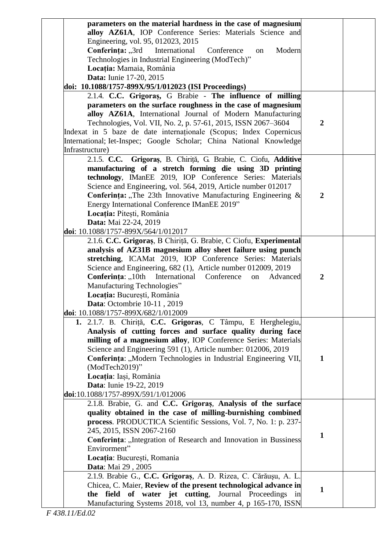| parameters on the material hardness in the case of magnesium        |                  |  |
|---------------------------------------------------------------------|------------------|--|
| alloy AZ61A, IOP Conference Series: Materials Science and           |                  |  |
| Engineering, vol. 95, 012023, 2015                                  |                  |  |
| Conferința: "3rd<br>International<br>Conference<br>Modern<br>on     |                  |  |
| Technologies in Industrial Engineering (ModTech)"                   |                  |  |
| Locația: Mamaia, România                                            |                  |  |
| Data: Iunie 17-20, 2015                                             |                  |  |
| doi: 10.1088/1757-899X/95/1/012023 (ISI Proceedings)                |                  |  |
| 2.1.4. C.C. Grigoraș, G Brabie - The influence of milling           |                  |  |
| parameters on the surface roughness in the case of magnesium        |                  |  |
| alloy AZ61A, International Journal of Modern Manufacturing          |                  |  |
| Technologies, Vol. VII, No. 2, p. 57-61, 2015, ISSN 2067-3604       | $\boldsymbol{2}$ |  |
| Indexat in 5 baze de date internationale (Scopus; Index Copernicus  |                  |  |
| International; Iet-Inspec; Google Scholar; China National Knowledge |                  |  |
| Infrastructure)                                                     |                  |  |
| 2.1.5. C.C. Grigoraș, B. Chiriță, G. Brabie, C. Ciofu, Additive     |                  |  |
| manufacturing of a stretch forming die using 3D printing            |                  |  |
| technology, IManEE 2019, IOP Conference Series: Materials           |                  |  |
| Science and Engineering, vol. 564, 2019, Article number 012017      |                  |  |
| Conferința: "The 23th Innovative Manufacturing Engineering &        | $\boldsymbol{2}$ |  |
| Energy International Conference IManEE 2019"                        |                  |  |
| Locația: Pitești, România                                           |                  |  |
| Data: Mai 22-24, 2019                                               |                  |  |
| doi: 10.1088/1757-899X/564/1/012017                                 |                  |  |
| 2.1.6. C.C. Grigoraș, B Chiriță, G. Brabie, C Ciofu, Experimental   |                  |  |
| analysis of AZ31B magnesium alloy sheet failure using punch         |                  |  |
| stretching, ICAMat 2019, IOP Conference Series: Materials           |                  |  |
| Science and Engineering, 682 (1), Article number 012009, 2019       |                  |  |
| <b>Conferința:</b> "10th International Conference<br>Advanced<br>on | $\boldsymbol{2}$ |  |
| Manufacturing Technologies"                                         |                  |  |
| Locația: București, România                                         |                  |  |
| Data: Octombrie 10-11, 2019                                         |                  |  |
| doi: 10.1088/1757-899X/682/1/012009                                 |                  |  |
| 1. 2.1.7. B. Chiriță, C.C. Grigoras, C Tâmpu, E Herghelegiu,        |                  |  |
| Analysis of cutting forces and surface quality during face          |                  |  |
| milling of a magnesium alloy, IOP Conference Series: Materials      |                  |  |
| Science and Engineering 591 (1), Article number: 012006, 2019       |                  |  |
| Conferința: "Modern Technologies in Industrial Engineering VII,     | 1                |  |
| (ModTech2019)"                                                      |                  |  |
| Locația: Iași, România                                              |                  |  |
| <b>Data:</b> Iunie 19-22, 2019                                      |                  |  |
| doi:10.1088/1757-899X/591/1/012006                                  |                  |  |
| 2.1.8. Brabie, G. and C.C. Grigoras, Analysis of the surface        |                  |  |
| quality obtained in the case of milling-burnishing combined         |                  |  |
| process. PRODUCTICA Scientific Sessions, Vol. 7, No. 1: p. 237-     |                  |  |
| 245, 2015, ISSN 2067-2160                                           |                  |  |
| Conferința: "Integration of Research and Innovation in Bussiness    | $\mathbf{1}$     |  |
| Envirorment"                                                        |                  |  |
| Locația: București, Romania                                         |                  |  |
| Data: Mai 29, 2005                                                  |                  |  |
| 2.1.9. Brabie G., C.C. Grigoraș, A. D. Rizea, C. Cărăușu, A. L.     |                  |  |
| Chicea, C. Maier, Review of the present technological advance in    |                  |  |
| the field of water jet cutting,<br>Journal Proceedings<br>1n        | 1                |  |
| Manufacturing Systems 2018, vol 13, number 4, p 165-170, ISSN       |                  |  |
|                                                                     |                  |  |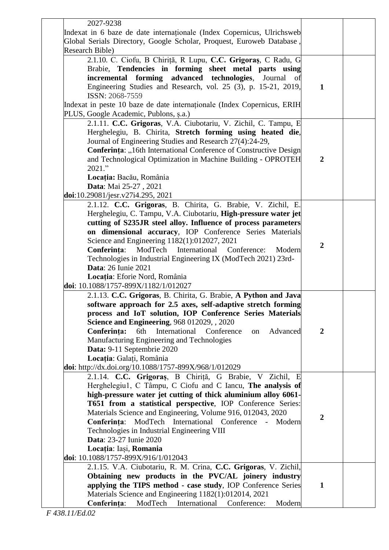| 2027-9238<br>Indexat in 6 baze de date internaționale (Index Copernicus, Ulrichsweb                                                                                                                                                                                                                                                                                                                                                                                                                                                                 |                  |  |
|-----------------------------------------------------------------------------------------------------------------------------------------------------------------------------------------------------------------------------------------------------------------------------------------------------------------------------------------------------------------------------------------------------------------------------------------------------------------------------------------------------------------------------------------------------|------------------|--|
| Global Serials Directory, Google Scholar, Proquest, Euroweb Database.<br>Research Bible)                                                                                                                                                                                                                                                                                                                                                                                                                                                            |                  |  |
| 2.1.10. C. Ciofu, B Chiriță, R Lupu, C.C. Grigoraș, C Radu, G<br>Brabie, Tendencies in forming sheet metal parts using<br>incremental forming advanced technologies, Journal of<br>Engineering Studies and Research, vol. 25 (3), p. 15-21, 2019,<br>ISSN: 2068-7559<br>Indexat in peste 10 baze de date internaționale (Index Copernicus, ERIH<br>PLUS, Google Academic, Publons, s.a.)                                                                                                                                                            | $\mathbf{1}$     |  |
| 2.1.11. C.C. Grigoras, V.A. Ciubotariu, V. Zichil, C. Tampu, E<br>Herghelegiu, B. Chirita, Stretch forming using heated die,<br>Journal of Engineering Studies and Research 27(4):24-29,<br>Conferința: "16th International Conference of Constructive Design<br>and Technological Optimization in Machine Building - OPROTEH<br>2021."<br>Locația: Bacău, România<br>Data: Mai 25-27, 2021<br>doi:10.29081/jesr.v27i4.295, 2021                                                                                                                    | $\overline{2}$   |  |
| 2.1.12. C.C. Grigoras, B. Chirita, G. Brabie, V. Zichil, E.<br>Herghelegiu, C. Tampu, V.A. Ciubotariu, High-pressure water jet<br>cutting of S235JR steel alloy. Influence of process parameters<br>on dimensional accuracy, IOP Conference Series Materials<br>Science and Engineering 1182(1):012027, 2021<br>Conferința:<br>ModTech International Conference:<br>Modern<br>Technologies in Industrial Engineering IX (ModTech 2021) 23rd-<br><b>Data: 26 Iunie 2021</b><br>Locația: Eforie Nord, România<br>doi: 10.1088/1757-899X/1182/1/012027 | $\boldsymbol{2}$ |  |
| 2.1.13. C.C. Grigoras, B. Chirita, G. Brabie, A Python and Java<br>software approach for 2.5 axes, self-adaptive stretch forming<br>process and IoT solution, IOP Conference Series Materials<br>Science and Engineering, 968 012029, , 2020<br>Conferința:<br>6th<br>International Conference<br>Advanced<br>on<br>Manufacturing Engineering and Technologies<br>Data: 9-11 Septembrie 2020<br>Locația: Galați, România<br>doi: http://dx.doi.org/10.1088/1757-899X/968/1/012029                                                                   | $\overline{2}$   |  |
| 2.1.14. C.C. Grigoraș, B Chiriță, G Brabie, V Zichil, E<br>Herghelegiu1, C Tâmpu, C Ciofu and C Iancu, The analysis of<br>high-pressure water jet cutting of thick aluminium alloy 6061-<br>T651 from a statistical perspective, IOP Conference Series:<br>Materials Science and Engineering, Volume 916, 012043, 2020<br>Conferința: ModTech International Conference - Modern<br>Technologies in Industrial Engineering VIII<br><b>Data: 23-27 Iunie 2020</b><br>Locația: Iași, Romania<br>doi: 10.1088/1757-899X/916/1/012043                    | $\overline{2}$   |  |
| 2.1.15. V.A. Ciubotariu, R. M. Crina, C.C. Grigoras, V. Zichil,<br>Obtaining new products in the PVC/AL joinery industry<br>applying the TIPS method - case study, IOP Conference Series<br>Materials Science and Engineering 1182(1):012014, 2021<br>Conferința:<br>ModTech International Conference:<br>Modern                                                                                                                                                                                                                                    | $\mathbf{1}$     |  |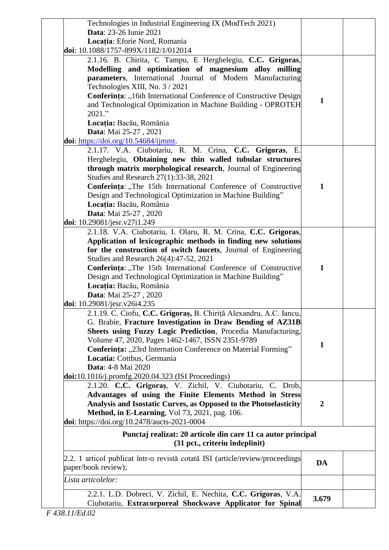| 2.2.1. L.D. Dobreci, V. Zichil, E. Nechita, C.C. Grigoras, V.A.                                                             | 3.679            |  |
|-----------------------------------------------------------------------------------------------------------------------------|------------------|--|
| Lista articolelor:                                                                                                          |                  |  |
| 2.2. 1 articol publicat într-o revistă cotată ISI (article/review/proceedings<br>paper/book review);                        | DA               |  |
| Punctaj realizat: 20 articole din care 11 ca autor principal<br>(31 pct., criteriu îndeplinit)                              |                  |  |
| doi: https://doi.org/10.2478/aucts-2021-0004                                                                                |                  |  |
| Method, in E-Learning, Vol 73, 2021, pag. 106.                                                                              |                  |  |
| Analysis and Isostatic Curves, as Opposed to the Photoelasticity                                                            | $\boldsymbol{2}$ |  |
| Advantages of using the Finite Elements Method in Stress                                                                    |                  |  |
|                                                                                                                             |                  |  |
| $\text{doi: } 10.1016/j.promfg. 2020.04.323 (ISI Proceedings)$<br>2.1.20. C.C. Grigoraș, V. Zichil, V. Ciubotariu, C. Drob, |                  |  |
|                                                                                                                             |                  |  |
| Locatia: Cottbus, Germania<br>Data: 4-8 Mai 2020                                                                            |                  |  |
| Conferința: "23rd Internation Conference on Material Forming"                                                               |                  |  |
| Volume 47, 2020, Pages 1462-1467, ISSN 2351-9789                                                                            | $\mathbf{1}$     |  |
| Sheets using Fuzzy Logic Prediction, Procedia Manufacturing,                                                                |                  |  |
| G. Brabie, Fracture Investigation in Draw Bending of AZ31B                                                                  |                  |  |
| 2.1.19. C. Ciofu, C.C. Grigoraș, B. Chiriță Alexandru, A.C. Iancu,                                                          |                  |  |
| doi: 10.29081/jesr.v26i4.235                                                                                                |                  |  |
| Data: Mai 25-27, 2020                                                                                                       |                  |  |
| Locația: Bacău, România                                                                                                     |                  |  |
| Design and Technological Optimization in Machine Building"                                                                  |                  |  |
| Conferința: "The 15th International Conference of Constructive                                                              | $\mathbf{1}$     |  |
| Studies and Research 26(4):47-52, 2021                                                                                      |                  |  |
| for the construction of switch faucets, Journal of Engineering                                                              |                  |  |
| Application of lexicographic methods in finding new solutions                                                               |                  |  |
| 2.1.18. V.A. Ciubotariu, I. Olaru, R. M. Crina, C.C. Grigoras,                                                              |                  |  |
| doi: $10.29081/jesr.v27i1.249$                                                                                              |                  |  |
| Data: Mai 25-27, 2020                                                                                                       |                  |  |
| Locația: Bacău, România                                                                                                     |                  |  |
| Design and Technological Optimization in Machine Building"                                                                  |                  |  |
| Conferința: "The 15th International Conference of Constructive                                                              | $\mathbf{1}$     |  |
| Studies and Research 27(1):33-38, 2021                                                                                      |                  |  |
| through matrix morphological research, Journal of Engineering                                                               |                  |  |
| Herghelegiu, Obtaining new thin walled tubular structures                                                                   |                  |  |
| 2.1.17. V.A. Ciubotariu, R. M. Crina, C.C. Grigoras, E.                                                                     |                  |  |
| doi: https://doi.org/10.54684/ijmmt.                                                                                        |                  |  |
| Data: Mai 25-27, 2021                                                                                                       |                  |  |
| Locația: Bacău, România                                                                                                     |                  |  |
| 2021."                                                                                                                      |                  |  |
| and Technological Optimization in Machine Building - OPROTEH                                                                | $\mathbf{1}$     |  |
| Conferința: "16th International Conference of Constructive Design                                                           |                  |  |
| Technologies XIII, No. 3 / 2021                                                                                             |                  |  |
| parameters, International Journal of Modern Manufacturing                                                                   |                  |  |
| Modelling and optimization of magnesium alloy milling                                                                       |                  |  |
| 2.1.16. B. Chirita, C Tampu, E Herghelegiu, C.C. Grigoras,                                                                  |                  |  |
| doi: 10.1088/1757-899X/1182/1/012014                                                                                        |                  |  |
| Locația: Eforie Nord, Romania                                                                                               |                  |  |
| Technologies in Industrial Engineering IX (ModTech 2021)<br>Data: 23-26 Iunie 2021                                          |                  |  |
|                                                                                                                             |                  |  |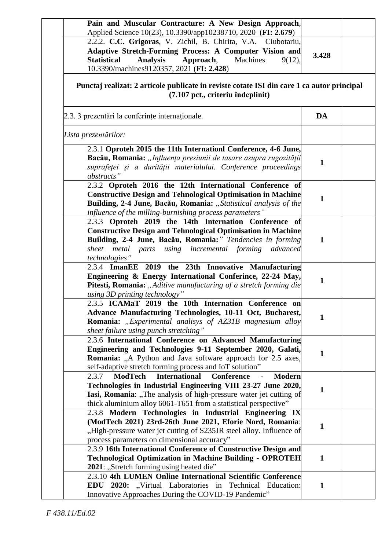| Adaptive Stretch-Forming Process: A Computer Vision and<br><b>Statistical</b><br><b>Analysis</b><br>Approach,<br>Machines<br>9(12), | 3.428        |  |
|-------------------------------------------------------------------------------------------------------------------------------------|--------------|--|
| 10.3390/machines9120357, 2021 (FI: 2.428)                                                                                           |              |  |
| Punctaj realizat: 2 articole publicate in reviste cotate ISI din care 1 ca autor principal<br>(7.107 pct., criteriu îndeplinit)     |              |  |
| 2.3. 3 prezentări la conferințe internaționale.                                                                                     | DA           |  |
| Lista prezentărilor:                                                                                                                |              |  |
| 2.3.1 Oproteh 2015 the 11th Internationl Conference, 4-6 June,                                                                      |              |  |
| Bacău, Romania: "Influența presiunii de tasare asupra rugozității                                                                   |              |  |
| suprafeței și a durității materialului. Conference proceedings                                                                      | $\mathbf{1}$ |  |
| abstracts"                                                                                                                          |              |  |
| 2.3.2 Oproteh 2016 the 12th International Conference of                                                                             |              |  |
| <b>Constructive Design and Tehnological Optimisation in Machine</b>                                                                 | $\mathbf{1}$ |  |
| Building, 2-4 June, Bacău, Romania: "Statistical analysis of the                                                                    |              |  |
| influence of the milling-burnishing process parameters"                                                                             |              |  |
| 2.3.3 Oproteh 2019 the 14th Internation Conference of                                                                               |              |  |
| <b>Constructive Design and Tehnological Optimisation in Machine</b><br>Building, 2-4 June, Bacău, Romania:" Tendencies in forming   | $\mathbf{1}$ |  |
| metal parts using incremental forming<br>sheet<br>advanced                                                                          |              |  |
| technologies"                                                                                                                       |              |  |
| 2.3.4 ImanEE 2019 the 23th Innovative Manufacturing                                                                                 |              |  |
| Engineering & Energy International Conferince, 22-24 May,                                                                           |              |  |
| Pitesti, Romania: "Aditive manufacturing of a stretch forming die                                                                   | $\mathbf{1}$ |  |
| using 3D printing technology"                                                                                                       |              |  |
| 2.3.5 ICAMaT 2019 the 10th Internation Conference on                                                                                |              |  |
| Advance Manufacturing Technologies, 10-11 Oct, Bucharest,                                                                           | $\mathbf{1}$ |  |
| Romania: "Experimental analisys of AZ31B magnesium alloy                                                                            |              |  |
| sheet failure using punch stretching"                                                                                               |              |  |
| 2.3.6 International Conference on Advanced Manufacturing                                                                            |              |  |
| Engineering and Technologies 9-11 September 2020, Galati,                                                                           | $\mathbf{1}$ |  |
| <b>Romania:</b> "A Python and Java software approach for 2.5 axes,                                                                  |              |  |
| self-adaptive stretch forming process and IoT solution"<br><b>International</b>                                                     |              |  |
| ModTech<br>Conference<br>2.3.7<br><b>Modern</b>                                                                                     |              |  |
| Technologies in Industrial Engineering VIII 23-27 June 2020,<br>Iasi, Romania: "The analysis of high-pressure water jet cutting of  | $\mathbf{1}$ |  |
| thick aluminium alloy 6061-T651 from a statistical perspective"                                                                     |              |  |
| 2.3.8 Modern Technologies in Industrial Engineering IX                                                                              |              |  |
| (ModTech 2021) 23rd-26th June 2021, Eforie Nord, Romania:                                                                           |              |  |
| "High-pressure water jet cutting of S235JR steel alloy. Influence of                                                                | 1            |  |
| process parameters on dimensional accuracy"                                                                                         |              |  |
| 2.3.9 16th International Conference of Constructive Design and                                                                      |              |  |
| <b>Technological Optimization in Machine Building - OPROTEH</b>                                                                     | $\mathbf{1}$ |  |
| 2021: "Stretch forming using heated die"                                                                                            |              |  |
| 2.3.10 4th LUMEN Online International Scientific Conference                                                                         |              |  |
| EDU 2020: "Virtual Laboratories in Technical Education:                                                                             | $\mathbf{1}$ |  |
| Innovative Approaches During the COVID-19 Pandemic"                                                                                 |              |  |